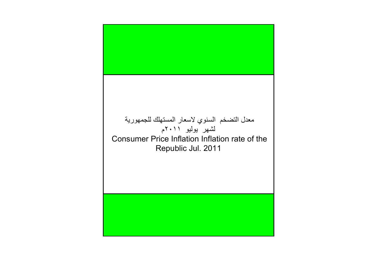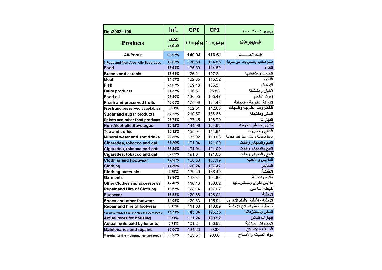| Des2008=100                                      | Inf.             | <b>CPI</b>              | <b>CPI</b> | ديسمبر ٢٠٠٨ ١٠٠                         |
|--------------------------------------------------|------------------|-------------------------|------------|-----------------------------------------|
| <b>Products</b>                                  | التضخم<br>السنوي | يوليو - ۱۰   يوليو - ۱۱ |            | المجموعات                               |
| <b>All-items</b>                                 | 20.97%           | 140.94                  | 116.51     | البند العـــــام                        |
| I. Food and Non-Alcoholic Beverages              | 18.87%           | 136.53                  | 114.85     | السلع الغذائية والمشروبات الغير كحولية  |
| Food                                             | 18.94%           | 136.30                  | 114.59     | الغذاء                                  |
| <b>Breads and cereals</b>                        | 17.61%           | 126.21                  | 107.31     | الحبوب ومشتقاتها                        |
| Meat                                             | 14.57%           | 132.35                  | 115.52     | اللحوم                                  |
| <b>Fish</b>                                      | 25.03%           | 169.43                  | 135.51     | الاسماك                                 |
| <b>Dairy products</b>                            | 21.57%           | 116.51                  | 95.83      | الالبان ومشتقاته                        |
| Food oil                                         | 23.30%           | 130.05                  | 105.47     | زيوت الطعام                             |
| <b>Fresh and preserved fruits</b>                | 40.65%           | 175.09                  | 124.48     | الفواكة الطازجة والمجففة                |
| Fresh and preserved vegetables                   | 6.91%            | 152.51                  | 142.66     | الخضروات الطازجة والمجففة               |
| <b>Sugar and sugar products</b>                  | 32.55%           | 210.57                  | 158.86     | السكر ومنتجاته                          |
| Spices and other food products                   | 28.71%           | 137.45                  | 106.79     | البهارات                                |
| <b>Non-Alcoholic Beverages</b>                   | 16.32%           | 144.96                  | 124.62     | مشروبات غير كحوليه                      |
| <b>Tea and coffee</b>                            | 10.12%           | 155.94                  | 141.61     | الشاي والمنبهات                         |
| <b>Mineral water and soft drinks</b>             | 22.86%           | 135.92                  | 110.63     | المياة المعدنية والمشروبات الغير كحولية |
| Cigarettes, tobacco and qat                      | 57.89%           | 191.04                  | 121.00     | التبغ والسجائر والقات                   |
| Cigarettes, tobacco and qat                      | 57.89%           | 191.04                  | 121.00     | التبغ والسجائر والقات                   |
| Cigarettes, tobacco and qat                      | 57.89%           | 191.04                  | 121.00     | التبغ والسجائر والقات                   |
| <b>Clothing and Footwear</b>                     | 12.26%           | 120.33                  | 107.19     | الملابس والاحذية                        |
| <b>Clothing</b>                                  | 11.89%           | 120.24                  | 107.47     | الملابس                                 |
| <b>Clothing materials</b>                        | 0.79%            | 139.49                  | 138.40     | الاقمشة                                 |
| <b>Garments</b>                                  | 12.80%           | 118.31                  | 104.88     | ملابس داخلية                            |
| <b>Other Clothes and accessories</b>             | 12.40%           | 116.46                  | 103.62     | ملابس اخرى ومستلزماتها                  |
| <b>Repair and Hire of Clothing</b>               | 19.67%           | 128.14                  | 107.07     | خياطة الملابس                           |
| lFootwear                                        | 13.83%           | 120.68                  | 106.02     | الاحذية                                 |
| Shoes and other footwear                         | 14.05%           | 120.83                  | 105.94     | الاحذية واغطية الاقدام الاخرى           |
| Repair and hire of footwear                      | 0.13%            | 111.03                  | 110.89     | خدمة خياطة واصلاح الاحذية               |
| Housing, Water, Electricity, Gas and Other Fuels | 15.71%           | 145.04                  | 125.36     | السكن ومستلزماته                        |
| <b>Actual rents for housing</b>                  | 0.71%            | 101.24                  | 100.52     | ايجار ات السك <i>ن</i>                  |
| Actual rents paid by tenants                     | 0.71%            | 101.24                  | 100.52     | الايجارات المنزلية                      |
| <b>Maintenance and repairs</b>                   | 25.06%           | 124.23                  | 99.33      | الصيانه والاصلاح                        |
| Material for the maintenance and repair          | 36.27%           | 123.54                  | 90.66      | مواد الصيانه والاصلاح                   |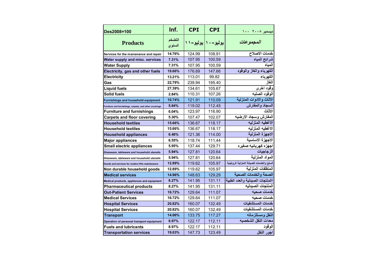| Des2008=100                                             | Inf.             | <b>CPI</b>          | <b>CPI</b> | ديسمبر ٢٠٠٨ ١٠٠                           |
|---------------------------------------------------------|------------------|---------------------|------------|-------------------------------------------|
| <b>Products</b>                                         | التضخم<br>السنوي | یولیو-۱۰   یولیو-۱۱ |            | المجموعات                                 |
| Services for the mainenance and repair                  | 14.76%           | 124.99              | 108.91     | خدمات الاصلاح                             |
| Water supply and misc. services                         | 7.31%            | 107.95              | 100.59     | شرائح المياه                              |
| <b>Water Supply</b>                                     | 7.31%            | 107.95              | 100.59     | المياه                                    |
| Electricity, gas and other fuels                        | 19.66%           | 176.69              | 147.66     | الكهرباء والغاز والوقود                   |
| <b>Electricity</b>                                      | 13.21%           | 113.01              | 99.82      | الكهرباء                                  |
| Gas                                                     | 22.79%           | 239.94              | 195.40     | الغاز                                     |
| <b>Liquid fuels</b>                                     | 27.39%           | 134.61              | 105.67     | وقود اخرى                                 |
| <b>Solid fuels</b>                                      | 2.84%            | 110.31              | 107.26     | الوقود الصلبه                             |
| <b>Furnishings and household equipment</b>              | 10.74%           | 121.91              | 110.09     | الاثاث والادوات المنزلية                  |
| Furniture and furnishings, carpets, and other coverings | 5.84%            | 119.02              | 112.45     | السجاد والمفارش                           |
| <b>Furniture and furnishings</b>                        | 6.04%            | 123.97              | 116.90     | الاثاث                                    |
| <b>Carpets and floor covering</b>                       | 5.30%            | 107.47              | 102.07     | المفارش وسجاد الارضيه                     |
| <b>Household textiles</b>                               | 15.66%           | 136.67              | 118.17     | الاغطيه المنزليه                          |
| <b>Household textiles</b>                               | 15.66%           | 136.67              | 118.17     | الاغطيه المنزليه                          |
| <b>Household appliances</b>                             | 6.46%            | 121.36              | 114.00     | الاجهزة المنزلية                          |
| <b>Major appliances</b>                                 | 6.55%            | 118.74              | 111.44     | الاجهزة الاساسية                          |
| <b>Small electric appliances</b>                        | 5.95%            | 137.44              | 129.71     | اجهزه كهربائيه صغيره                      |
| Glassware, tableware and household utensils             | 5.94%            | 127.81              | 120.64     | الزجاجيات                                 |
| Glassware, tableware and household utensils             | 5.94%            | 127.81              | 120.64     | المواد المنزلية                           |
| Goods and services for routine HHs maintenance          | 12.89%           | 119.62              | 105.97     | السلع والخدمات للصيانة المنزلية الروتينية |
| Non durable household goods                             | 12.89%           | 119.62              | 105.97     | المنظفات المنزلية                         |
| <b>Medical services</b>                                 | 14.96%           | 148.63              | 129.29     | الصحة والخدمات الصحية                     |
| Medical products, appliances and equipment              | 8.27%            | 141.95              | 131.11     | االمنتجات الصيدلية والعدد الطبية          |
| <b>Pharmaceutical products</b>                          | 8.27%            | 141.95              | 131.11     | المنتجات الصيدليه                         |
| <b>Out-Patient Services</b>                             | 16.72%           | 129.64              | 111.07     | خدمات صحيه                                |
| <b>Medical Services</b>                                 | 16.72%           | 129.64              | 111.07     | خدمات صحيه                                |
| <b>Hospital Services</b>                                | 20.82%           | 160.07              | 132.49     | خدمات المستشفيات                          |
| <b>Hospital Services</b>                                | 20.82%           | 160.07              | 132.49     | خدمات المستشفيات                          |
| <b>Transport</b>                                        | 14.06%           | 133.75              | 117.27     | النقل ومستلزماته                          |
| Operation of personal transport equipment               | 8.97%            | 122.17              | 112.11     | معدات النقل الشخصيه                       |
| <b>Fuels and lubricants</b>                             | 8.97%            | 122.17              | 112.11     | الوقود                                    |
| <b>Transportation services</b>                          | 19.63%           | 147.73              | 123.49     | اجور النقل                                |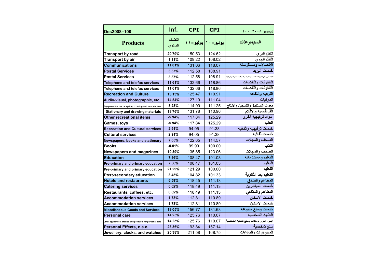| Des2008=100                                               | Inf.             | <b>CPI</b>              | <b>CPI</b> | ديسمبر ٢٠٠٨ ١٠٠                                                                        |
|-----------------------------------------------------------|------------------|-------------------------|------------|----------------------------------------------------------------------------------------|
| <b>Products</b>                                           | التضخم<br>السنوي | يوليو - ۱۰   يوليو - ۱۱ |            | المجموعات                                                                              |
| <b>Transport by road</b>                                  | 20.79%           | 150.53                  | 124.62     | النقل البري                                                                            |
| <b>Transport by air</b>                                   | 1.11%            | 109.22                  | 108.02     | النقل الجوي                                                                            |
| <b>Communications</b>                                     | 11.01%           | 131.06                  | 118.07     | الاتصالات ومستلزماته                                                                   |
| <b>Postal Services</b>                                    | 3.37%            | 112.58                  | 108.91     | خدمات البريد                                                                           |
| <b>Postal Services</b>                                    | 3.37%            | 112.58                  | 108.91     | .<br>تاليف اخرى على النقل والاتصالات ( مثل تعلم السواقةَ وتكاليف التلغراف والبريد والا |
| <b>Telephone and telefax services</b>                     | 11.61%           | 132.66                  | 118.86     | التلفونات والتلكسات                                                                    |
| Telephone and telefax services                            | 11.61%           | 132.66                  | 118.86     | التلفونات والتلكسات                                                                    |
| <b>Recreation and Culture</b>                             | 13.13%           | 125.47                  | 110.91     | الترفيه والثقافة                                                                       |
| Audio-visual, photographic, etc                           | 14.54%           | 127.19                  | 111.04     | المرئيات                                                                               |
| Equipment for the reception, rcording and reproduction    | 3.28%            | 114.90                  | 111.25     | معدات الاستقبال والتسجيل والانتاج                                                      |
| <b>Stationary and drawing materials</b>                   | 18.76%           | 131.78                  | 110.96     | القرطاسيه والاقلام                                                                     |
| <b>Other recreational items</b>                           | $-5.94%$         | 117.84                  | 125.29     | مواد ترفيهيه اخر ى                                                                     |
| Games, toys                                               | $-5.94%$         | 117.84                  | 125.29     | العاب                                                                                  |
| <b>Recreation and Cultural services</b>                   | 2.91%            | 94.05                   | 91.38      | خدمات ترفيهيه وثقافيه                                                                  |
| <b>Cultural services</b>                                  | 2.91%            | 94.05                   | 91.38      | خدمات ثقافيه                                                                           |
| Newspapers, books and stationary                          | 7.05%            | 122.65                  | 114.57     | الصحف والمجلات                                                                         |
| <b>Books</b>                                              | $-0.01%$         | 99.99                   | 100.00     |                                                                                        |
| <b>Newspapers and magazines</b>                           | 10.39%           | 135.85                  | 123.06     | الصحف والمجلات                                                                         |
| <b>Education</b>                                          | 7.36%            | 108.47                  | 101.03     | التعليم ومستلزماته                                                                     |
| Pre-primary and primary education                         | 7.36%            | 108.47                  | 101.03     | التعليم                                                                                |
| Pre-primary and primary education                         | 21.29%           | 121.29                  | 100.00     | التعليم                                                                                |
| Post-secondary education                                  | 3.45%            | 104.82                  | 101.33     | التعليم بعد الثانوية                                                                   |
| <b>Hotels and restaurants</b>                             | 6.59%            | 118.45                  | 111.13     | المطاعم والفنادق                                                                       |
| <b>Catering services</b>                                  | 6.62%            | 118.49                  | 111.13     | خدمات المباشرين                                                                        |
| Restaurants, caffees, etc.                                | 6.62%            | 118.49                  | 111.13     | المطاعم والمقاهي                                                                       |
| <b>Accommodation services</b>                             | 1.73%            | 112.81                  | 110.89     | خدمات الاسكان                                                                          |
| <b>Accommodation services</b>                             | 1.73%            | 112.81                  | 110.89     | خدمات الاسكان                                                                          |
| <b>Miscellaneous Goods and Services</b>                   | 19.05%           | 156.77                  | 131.68     | خدمات وسلع متنوعه                                                                      |
| <b>Personal care</b>                                      | 14.25%           | 125.76                  | 110.07     | العنايه الشخصيه                                                                        |
| Other appliances, articles and products for personal care | 14.25%           | 125.76                  | 110.07     | اجهزه اخرى ومعدات وسلع للعنايه الشخصية                                                 |
| Personal Effects, n.e.c.                                  | 23.36%           | 193.84                  | 157.14     | سلع شخصية                                                                              |
| Jewellery, clocks, and watches                            | 25.38%           | 211.58                  | 168.75     | المجوهرات والساعات                                                                     |